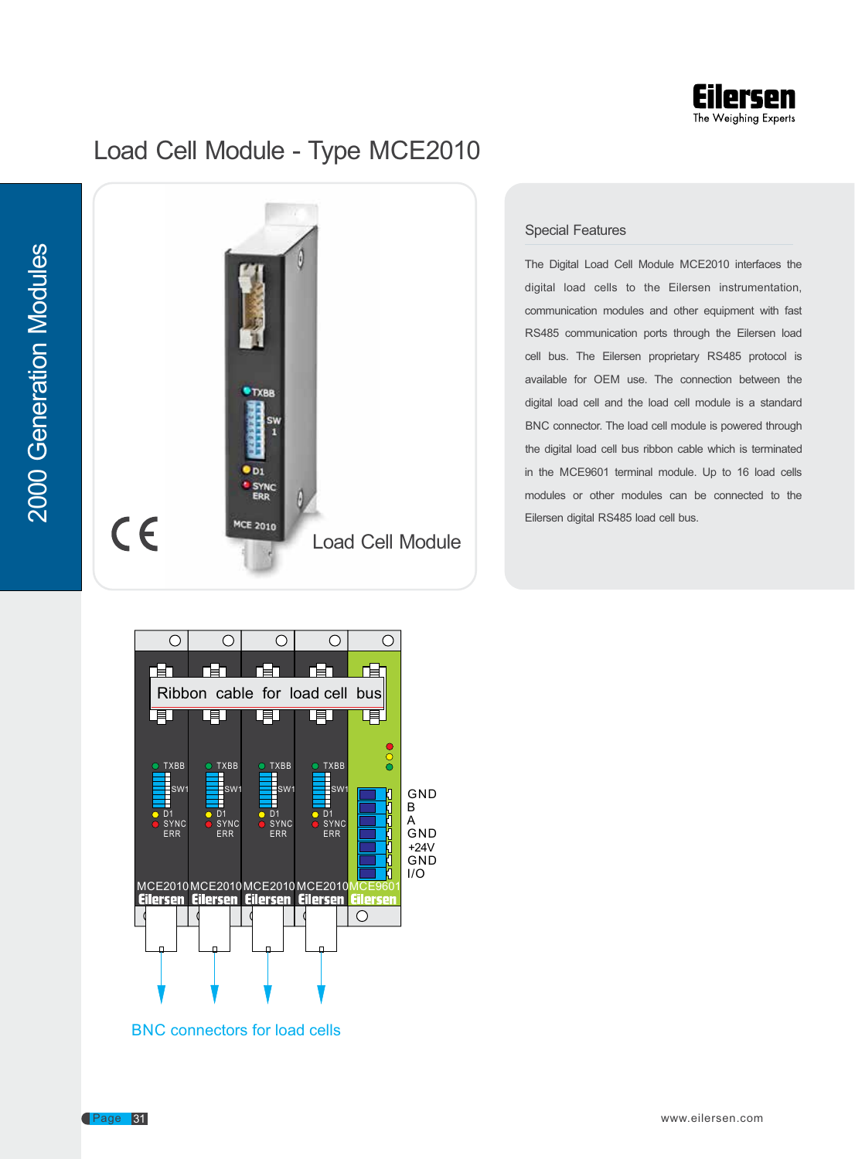

## Load Cell Module - Type MCE2010



## Special Features

The Digital Load Cell Module MCE2010 interfaces the digital load cells to the Eilersen instrumentation, communication modules and other equipment with fast RS485 communication ports through the Eilersen load cell bus. The Eilersen proprietary RS485 protocol is available for OEM use. The connection between the digital load cell and the load cell module is a standard BNC connector. The load cell module is powered through the digital load cell bus ribbon cable which is terminated in the MCE9601 terminal module. Up to 16 load cells modules or other modules can be connected to the Eilersen digital RS485 load cell bus.





 $\frac{2}{3}$